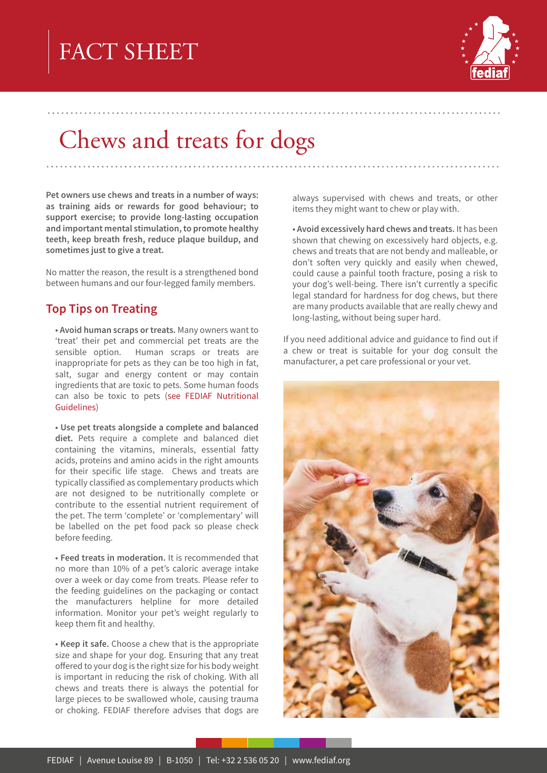# FACT SHEET



## Chews and treats for dogs

Pet owners use chews and treats in a number of ways: as training aids or rewards for good behaviour; to support exercise; to provide long-lasting occupation and important mental stimulation, to promote healthy teeth, keep breath fresh, reduce plaque buildup, and sometimes just to give a treat.

No matter the reason, the result is a strengthened bond between humans and our four-legged family members.

#### **Top Tips on Treating**

. Avoid human scraps or treats. Many owners want to 'treat' their pet and commercial pet treats are the sensible option. Human scraps or treats are inappropriate for pets as they can be too high in fat, salt, sugar and energy content or may contain ingredients that are toxic to pets. Some human foods can also be toxic to pets (see FEDIAF Nutritional Guidelines)

• Use pet treats alongside a complete and balanced diet. Pets require a complete and balanced diet containing the vitamins, minerals, essential fatty acids, proteins and amino acids in the right amounts for their specific life stage. Chews and treats are typically classified as complementary products which are not designed to be nutritionally complete or contribute to the essential nutrient requirement of the pet. The term 'complete' or 'complementary' will be labelled on the pet food pack so please check before feeding.

• Feed treats in moderation. It is recommended that no more than 10% of a pet's caloric average intake over a week or day come from treats. Please refer to the feeding guidelines on the packaging or contact the manufacturers helpline for more detailed information. Monitor your pet's weight regularly to keep them fit and healthy.

• Keep it safe. Choose a chew that is the appropriate size and shape for your dog. Ensuring that any treat offered to your dog is the right size for his body weight is important in reducing the risk of choking. With all chews and treats there is always the potential for large pieces to be swallowed whole, causing trauma or choking. FEDIAF therefore advises that dogs are

always supervised with chews and treats, or other items they might want to chew or play with.

• Avoid excessively hard chews and treats. It has been shown that chewing on excessively hard objects, e.g. chews and treats that are not bendy and malleable, or don't soften very quickly and easily when chewed, could cause a painful tooth fracture, posing a risk to your dog's well-being. There isn't currently a specific legal standard for hardness for dog chews, but there are many products available that are really chewy and long-lasting, without being super hard.

If you need additional advice and guidance to find out if a chew or treat is suitable for your dog consult the manufacturer, a pet care professional or your vet.